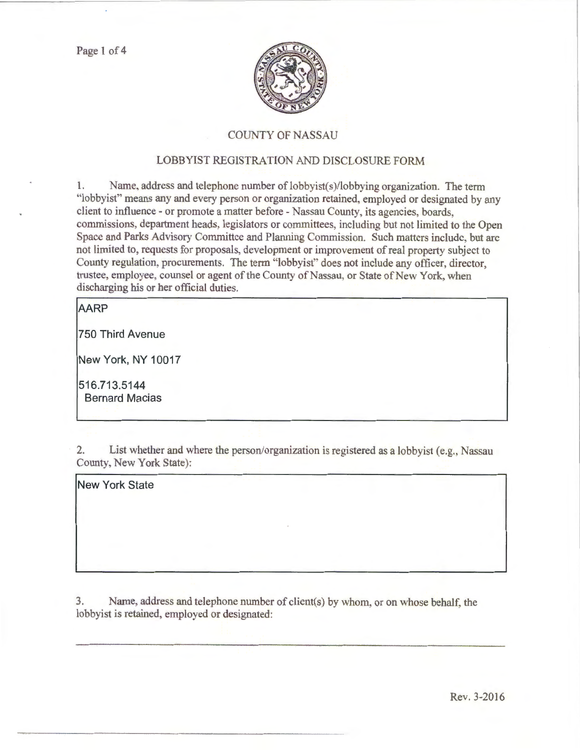

## COUNTY OF NASSAU

## LOBBYIST REGISTRATION AND DISCLOSURE FORM

1. Name, address and telephone number of lobbyist(s)/lobbying organization. The term "lobbyist" means any and every person or organization retained, employed or designated by any client to influence - or promote a matter before - Nassau County, its agencies, boards, commissions, department heads, legislators or committees, including but not limited to the Open Space and Parks Advisory Committee and Planning Commission. Such matters include, but arc not limited to, requests for proposals, development or improvement of real property subject to County regulation, procurements. The term "lobbyist" does not include any officer, director, trustee, employee, counsel or agent of the County of Nassau, or State of New York, when discharging his or her official duties.

## **AARP**

**750 Third Avenue** 

**New York, NY 10017** 

**516.713.5144 Bernard Macias** 

2. List whether and where the person/organization is registered as a lobbyist (e.g., Nassau County, New York State):

**New York State** 

3. Name, address and telephone number of client(s) by whom, or on whose behalf. the lobbyist is retained, employed or designated: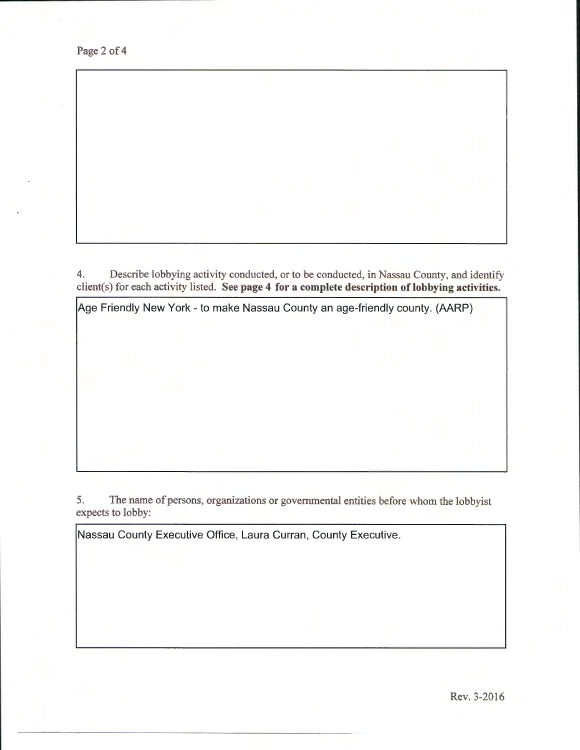

4. Describe lobbying activity conducted, or to be conducted, in Nassau County, and identify client(s) for each activity listed. See page 4 for a complete description of lobbying activities.



5. The name of persons, organizations or governmental entities before whom the lobbyist expects to lobby:

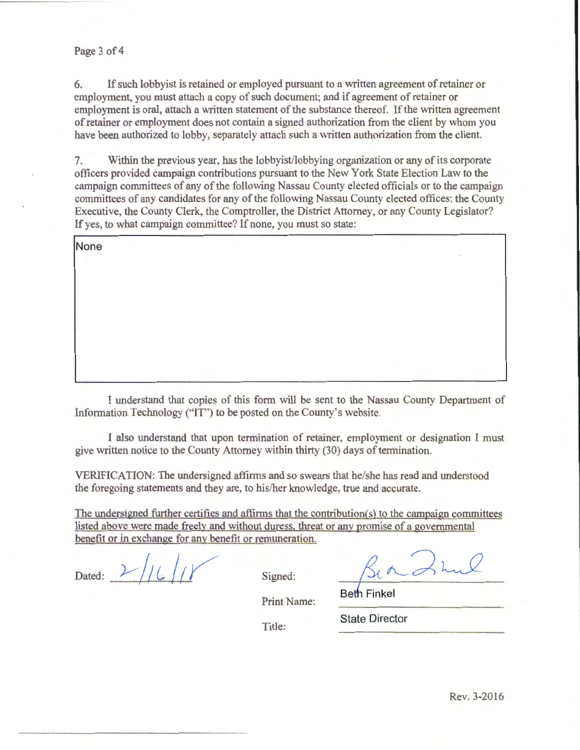6. If such lobbyist is retained or employed pursuant to a written agreement of retainer or employment, you must attach a copy of such document; and if agreement of retainer or employment is oral, attach a written statement of the substance thereof. If the written agreement of retainer or employment does not contain a signed authorization from the client by whom you have been authorized to lobby, separately attach such a written authorization from the client.

7. Within the previous year, has the lobbyist/lobbying organization or any of its corporate officers provided campaign contributions pursuant to the New York State Election Law to the campaign committees of any of the following Nassau County elected officials or to the campaign committees of any candidates for any of the following Nassau County elected offices: the County Executive, the County Clerk, the Comptroller, the District Attorney, or any County Legislator? If yes, to what campaign committee? If none, you must so state:

**None** 

I understand that copies of this form will be sent to the Nassau County Department of Information Technology ("IT") to be posted on the County's website.

I also understand that upon termination of retainer, employment or designation I must give written notice to the County Attorney within thirty (30) days of termination.

VERIFICATION: The undersigned affirms and so swears that he/she has read and understood the foregoing statements and they are, to his/her knowledge, true and accurate.

The undersigned further certifies and affirms that the contribution(s) to the campaign committees listed above were made freely and without duress. threat or anv promise of a governmental benefit or in exchange for any benefit or remuneration.

Dated:  $V/(L)/V$  Signed:

Print Name:

**Beth Finkel** 

Title:

**State Director**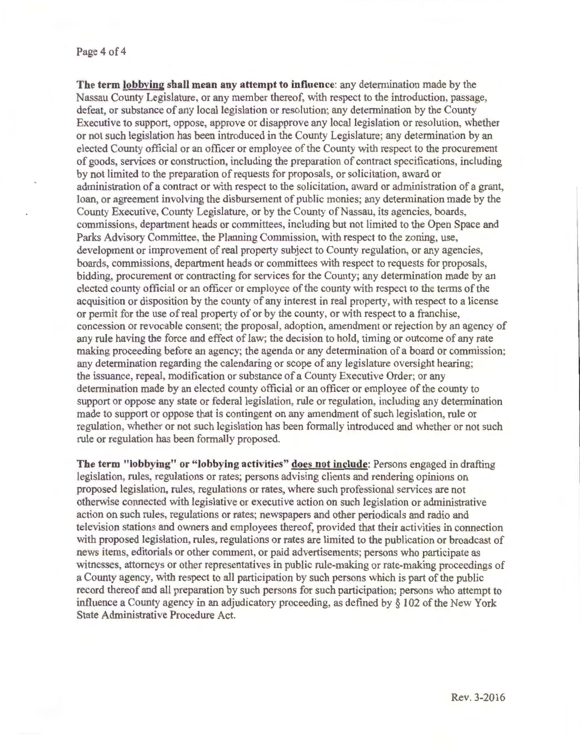## Page 4 of 4

**The term lobbying shall mean any attempt to influence:** any determination made by the Nassau County Legislature, or any member thereof, with respect to the introduction, passage, defeat, or substance of any local legislation or resolution; any determination by the County Executive to support, oppose, approve or disapprove any local legislation or resolution, whether or not such legislation has been introduced in the County Legislature; any determination by an elected County official or an officer or employee of the County with respect to the procurement of goods, services or constmction, including the preparation of contract specifications, including by not limited to the preparation of requests for proposals, or solicitation, award or administration of a contract or with respect to the solicitation, award or administration of a grant, loan, or agreement involving the disbursement of public monies; any determination made by the County Executive, County Legislature, or by the County of Nassau its agencies, boards, commissions, department heads or committees, including but not limited to the Open Space and Parks Advisory Committee, the Planning Commission, with respect to the zoning, use, development or improvement of real property subject to County regulation, or any agencies, boards, commissions, department heads or committees with respect to requests for proposals, bidding, procurement or contracting for services for the County; any determination made by an elected county official or an officer or employee of the county \Vith respect to the terms of the acquisition or disposition by the county of any interest in real property, with respect to a license or permit for the use of real property of or by the county, or with respect to a franchise, concession or revocable consent; the proposal, adoption, amendment or rejection by an agency of any rule having the force and effect of law; the decision to hold, timing or outcome of any rate making proceeding before an agency; the agenda or any determination of a board or commission; any determination regarding the calendaring or scope of any legislature oversight hearing; the issuance, repeal, modification or substance of a County Executive Order; or any determination made by an elected county official or an officer or employee of the county to support or oppose any state or federal legislation, rule or regulation, including any determination made to support or oppose that is contingent on any amendment of such legislation, rule or regulation, whether or not such legislation has been formally introduced and whether or not such rule or regulation has been formally proposed.

**The term "lobbying" or "lobbying activities" does not include:** Persons engaged in drafting legislation, rules, regulations or rates; persons advising clients and rendering opinions on proposed legislation, rules, regulations or rates, where such professional services are not otherwise connected with legislative or executive action on such legislation or administrative action on such rules, regulations or rates; newspapers and other periodicals and radio and television stations and owners and employees thereof, provided that their activities in connection with proposed legislation, rules, regulations or rates are limited to the publication or broadcast of news items, editorials or other comment, or paid advertisements; persons who participate as witnesses, attorneys or other representatives in public rule-making or rate-making proceedings of a County agency with respect to all participation by such persons which is part of the public record thereof and all preparation by such persons for such participation; persons who attempt to influence a County agency in an adjudicatory proceeding, as defined by§ 102 of the New York State Administrative Procedure Act.